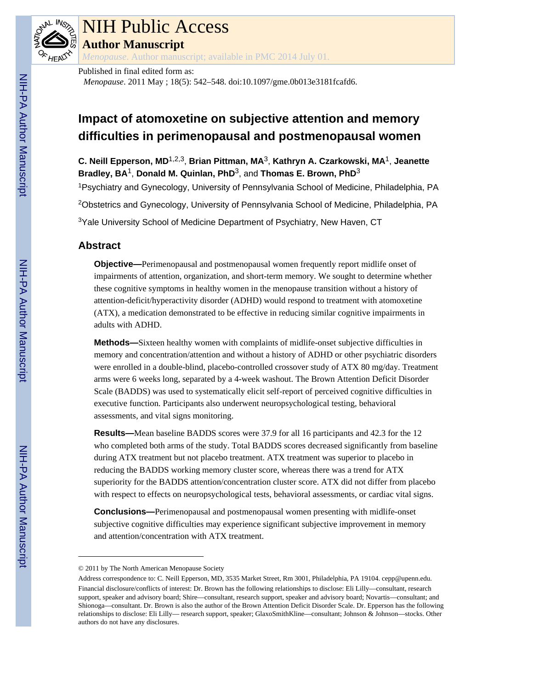

# NIH Public Access

**Author Manuscript**

*Menopause*. Author manuscript; available in PMC 2014 July 01.

Published in final edited form as: *Menopause*. 2011 May ; 18(5): 542–548. doi:10.1097/gme.0b013e3181fcafd6.

# **Impact of atomoxetine on subjective attention and memory difficulties in perimenopausal and postmenopausal women**

**C. Neill Epperson, MD**1,2,3, **Brian Pittman, MA**3, **Kathryn A. Czarkowski, MA**1, **Jeanette Bradley, BA**1, **Donald M. Quinlan, PhD**3, and **Thomas E. Brown, PhD**<sup>3</sup>

<sup>1</sup>Psychiatry and Gynecology, University of Pennsylvania School of Medicine, Philadelphia, PA <sup>2</sup>Obstetrics and Gynecology, University of Pennsylvania School of Medicine, Philadelphia, PA <sup>3</sup>Yale University School of Medicine Department of Psychiatry, New Haven, CT

# **Abstract**

**Objective—**Perimenopausal and postmenopausal women frequently report midlife onset of impairments of attention, organization, and short-term memory. We sought to determine whether these cognitive symptoms in healthy women in the menopause transition without a history of attention-deficit/hyperactivity disorder (ADHD) would respond to treatment with atomoxetine (ATX), a medication demonstrated to be effective in reducing similar cognitive impairments in adults with ADHD.

**Methods—**Sixteen healthy women with complaints of midlife-onset subjective difficulties in memory and concentration/attention and without a history of ADHD or other psychiatric disorders were enrolled in a double-blind, placebo-controlled crossover study of ATX 80 mg/day. Treatment arms were 6 weeks long, separated by a 4-week washout. The Brown Attention Deficit Disorder Scale (BADDS) was used to systematically elicit self-report of perceived cognitive difficulties in executive function. Participants also underwent neuropsychological testing, behavioral assessments, and vital signs monitoring.

**Results—**Mean baseline BADDS scores were 37.9 for all 16 participants and 42.3 for the 12 who completed both arms of the study. Total BADDS scores decreased significantly from baseline during ATX treatment but not placebo treatment. ATX treatment was superior to placebo in reducing the BADDS working memory cluster score, whereas there was a trend for ATX superiority for the BADDS attention/concentration cluster score. ATX did not differ from placebo with respect to effects on neuropsychological tests, behavioral assessments, or cardiac vital signs.

**Conclusions—**Perimenopausal and postmenopausal women presenting with midlife-onset subjective cognitive difficulties may experience significant subjective improvement in memory and attention/concentration with ATX treatment.

<sup>© 2011</sup> by The North American Menopause Society

Address correspondence to: C. Neill Epperson, MD, 3535 Market Street, Rm 3001, Philadelphia, PA 19104. cepp@upenn.edu. Financial disclosure/conflicts of interest: Dr. Brown has the following relationships to disclose: Eli Lilly—consultant, research support, speaker and advisory board; Shire—consultant, research support, speaker and advisory board; Novartis—consultant; and Shionoga—consultant. Dr. Brown is also the author of the Brown Attention Deficit Disorder Scale. Dr. Epperson has the following relationships to disclose: Eli Lilly— research support, speaker; GlaxoSmithKline—consultant; Johnson & Johnson—stocks. Other authors do not have any disclosures.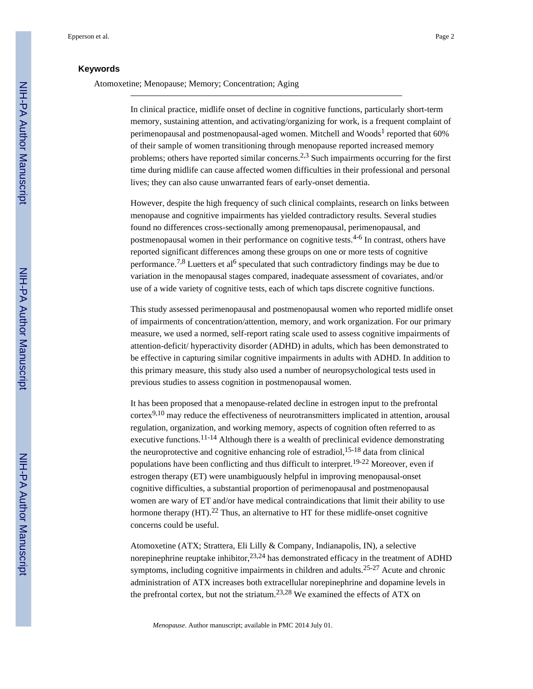#### **Keywords**

Atomoxetine; Menopause; Memory; Concentration; Aging

In clinical practice, midlife onset of decline in cognitive functions, particularly short-term memory, sustaining attention, and activating/organizing for work, is a frequent complaint of perimenopausal and postmenopausal-aged women. Mitchell and Woods<sup>1</sup> reported that 60% of their sample of women transitioning through menopause reported increased memory problems; others have reported similar concerns.<sup>2,3</sup> Such impairments occurring for the first time during midlife can cause affected women difficulties in their professional and personal lives; they can also cause unwarranted fears of early-onset dementia.

However, despite the high frequency of such clinical complaints, research on links between menopause and cognitive impairments has yielded contradictory results. Several studies found no differences cross-sectionally among premenopausal, perimenopausal, and postmenopausal women in their performance on cognitive tests.<sup>4-6</sup> In contrast, others have reported significant differences among these groups on one or more tests of cognitive performance.<sup>7,8</sup> Luetters et al<sup>6</sup> speculated that such contradictory findings may be due to variation in the menopausal stages compared, inadequate assessment of covariates, and/or use of a wide variety of cognitive tests, each of which taps discrete cognitive functions.

This study assessed perimenopausal and postmenopausal women who reported midlife onset of impairments of concentration/attention, memory, and work organization. For our primary measure, we used a normed, self-report rating scale used to assess cognitive impairments of attention-deficit/ hyperactivity disorder (ADHD) in adults, which has been demonstrated to be effective in capturing similar cognitive impairments in adults with ADHD. In addition to this primary measure, this study also used a number of neuropsychological tests used in previous studies to assess cognition in postmenopausal women.

It has been proposed that a menopause-related decline in estrogen input to the prefrontal cortex $9,10$  may reduce the effectiveness of neurotransmitters implicated in attention, arousal regulation, organization, and working memory, aspects of cognition often referred to as executive functions.<sup>11-14</sup> Although there is a wealth of preclinical evidence demonstrating the neuroprotective and cognitive enhancing role of estradiol,  $15-18$  data from clinical populations have been conflicting and thus difficult to interpret.19-22 Moreover, even if estrogen therapy (ET) were unambiguously helpful in improving menopausal-onset cognitive difficulties, a substantial proportion of perimenopausal and postmenopausal women are wary of ET and/or have medical contraindications that limit their ability to use hormone therapy  $(HT)$ .<sup>22</sup> Thus, an alternative to HT for these midlife-onset cognitive concerns could be useful.

Atomoxetine (ATX; Strattera, Eli Lilly & Company, Indianapolis, IN), a selective norepinephrine reuptake inhibitor,  $23,24$  has demonstrated efficacy in the treatment of ADHD symptoms, including cognitive impairments in children and adults.<sup>25-27</sup> Acute and chronic administration of ATX increases both extracellular norepinephrine and dopamine levels in the prefrontal cortex, but not the striatum.<sup>23,28</sup> We examined the effects of ATX on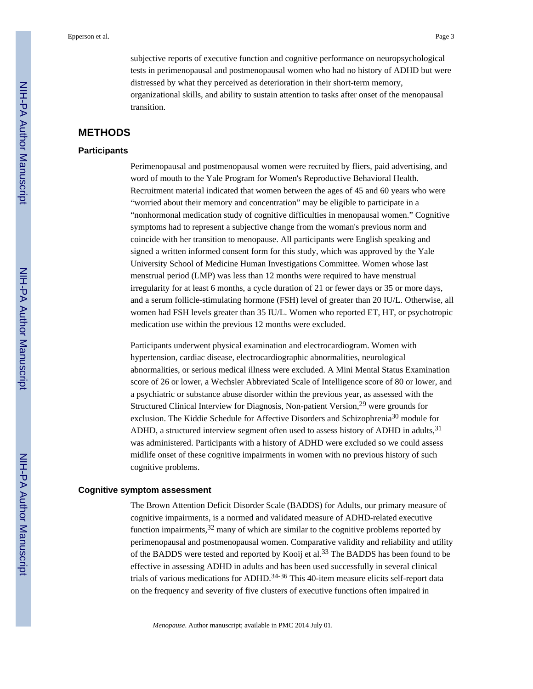subjective reports of executive function and cognitive performance on neuropsychological tests in perimenopausal and postmenopausal women who had no history of ADHD but were distressed by what they perceived as deterioration in their short-term memory, organizational skills, and ability to sustain attention to tasks after onset of the menopausal transition.

# **METHODS**

#### **Participants**

Perimenopausal and postmenopausal women were recruited by fliers, paid advertising, and word of mouth to the Yale Program for Women's Reproductive Behavioral Health. Recruitment material indicated that women between the ages of 45 and 60 years who were "worried about their memory and concentration" may be eligible to participate in a "nonhormonal medication study of cognitive difficulties in menopausal women." Cognitive symptoms had to represent a subjective change from the woman's previous norm and coincide with her transition to menopause. All participants were English speaking and signed a written informed consent form for this study, which was approved by the Yale University School of Medicine Human Investigations Committee. Women whose last menstrual period (LMP) was less than 12 months were required to have menstrual irregularity for at least 6 months, a cycle duration of 21 or fewer days or 35 or more days, and a serum follicle-stimulating hormone (FSH) level of greater than 20 IU/L. Otherwise, all women had FSH levels greater than 35 IU/L. Women who reported ET, HT, or psychotropic medication use within the previous 12 months were excluded.

Participants underwent physical examination and electrocardiogram. Women with hypertension, cardiac disease, electrocardiographic abnormalities, neurological abnormalities, or serious medical illness were excluded. A Mini Mental Status Examination score of 26 or lower, a Wechsler Abbreviated Scale of Intelligence score of 80 or lower, and a psychiatric or substance abuse disorder within the previous year, as assessed with the Structured Clinical Interview for Diagnosis, Non-patient Version,29 were grounds for exclusion. The Kiddie Schedule for Affective Disorders and Schizophrenia30 module for ADHD, a structured interview segment often used to assess history of ADHD in adults,  $31$ was administered. Participants with a history of ADHD were excluded so we could assess midlife onset of these cognitive impairments in women with no previous history of such cognitive problems.

#### **Cognitive symptom assessment**

The Brown Attention Deficit Disorder Scale (BADDS) for Adults, our primary measure of cognitive impairments, is a normed and validated measure of ADHD-related executive function impairments,  $32$  many of which are similar to the cognitive problems reported by perimenopausal and postmenopausal women. Comparative validity and reliability and utility of the BADDS were tested and reported by Kooij et al.<sup>33</sup> The BADDS has been found to be effective in assessing ADHD in adults and has been used successfully in several clinical trials of various medications for ADHD.<sup>34-36</sup> This 40-item measure elicits self-report data on the frequency and severity of five clusters of executive functions often impaired in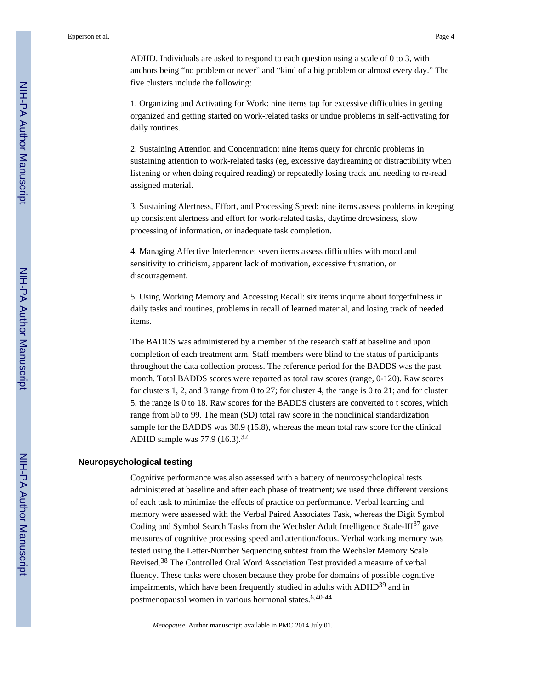ADHD. Individuals are asked to respond to each question using a scale of 0 to 3, with anchors being "no problem or never" and "kind of a big problem or almost every day." The five clusters include the following:

1. Organizing and Activating for Work: nine items tap for excessive difficulties in getting organized and getting started on work-related tasks or undue problems in self-activating for daily routines.

2. Sustaining Attention and Concentration: nine items query for chronic problems in sustaining attention to work-related tasks (eg, excessive daydreaming or distractibility when listening or when doing required reading) or repeatedly losing track and needing to re-read assigned material.

3. Sustaining Alertness, Effort, and Processing Speed: nine items assess problems in keeping up consistent alertness and effort for work-related tasks, daytime drowsiness, slow processing of information, or inadequate task completion.

4. Managing Affective Interference: seven items assess difficulties with mood and sensitivity to criticism, apparent lack of motivation, excessive frustration, or discouragement.

5. Using Working Memory and Accessing Recall: six items inquire about forgetfulness in daily tasks and routines, problems in recall of learned material, and losing track of needed items.

The BADDS was administered by a member of the research staff at baseline and upon completion of each treatment arm. Staff members were blind to the status of participants throughout the data collection process. The reference period for the BADDS was the past month. Total BADDS scores were reported as total raw scores (range, 0-120). Raw scores for clusters 1, 2, and 3 range from 0 to 27; for cluster 4, the range is 0 to 21; and for cluster 5, the range is 0 to 18. Raw scores for the BADDS clusters are converted to t scores, which range from 50 to 99. The mean (SD) total raw score in the nonclinical standardization sample for the BADDS was 30.9 (15.8), whereas the mean total raw score for the clinical ADHD sample was 77.9 (16.3).<sup>32</sup>

#### **Neuropsychological testing**

Cognitive performance was also assessed with a battery of neuropsychological tests administered at baseline and after each phase of treatment; we used three different versions of each task to minimize the effects of practice on performance. Verbal learning and memory were assessed with the Verbal Paired Associates Task, whereas the Digit Symbol Coding and Symbol Search Tasks from the Wechsler Adult Intelligence Scale-III<sup>37</sup> gave measures of cognitive processing speed and attention/focus. Verbal working memory was tested using the Letter-Number Sequencing subtest from the Wechsler Memory Scale Revised.38 The Controlled Oral Word Association Test provided a measure of verbal fluency. These tasks were chosen because they probe for domains of possible cognitive impairments, which have been frequently studied in adults with ADHD<sup>39</sup> and in postmenopausal women in various hormonal states.<sup>6,40-44</sup>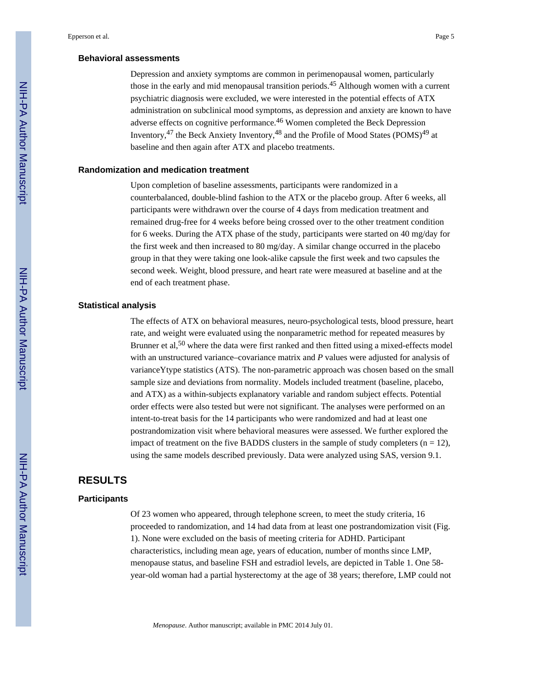#### **Behavioral assessments**

Depression and anxiety symptoms are common in perimenopausal women, particularly those in the early and mid menopausal transition periods.45 Although women with a current psychiatric diagnosis were excluded, we were interested in the potential effects of ATX administration on subclinical mood symptoms, as depression and anxiety are known to have adverse effects on cognitive performance.<sup>46</sup> Women completed the Beck Depression Inventory,  $47$  the Beck Anxiety Inventory,  $48$  and the Profile of Mood States (POMS) $49$  at baseline and then again after ATX and placebo treatments.

#### **Randomization and medication treatment**

Upon completion of baseline assessments, participants were randomized in a counterbalanced, double-blind fashion to the ATX or the placebo group. After 6 weeks, all participants were withdrawn over the course of 4 days from medication treatment and remained drug-free for 4 weeks before being crossed over to the other treatment condition for 6 weeks. During the ATX phase of the study, participants were started on 40 mg/day for the first week and then increased to 80 mg/day. A similar change occurred in the placebo group in that they were taking one look-alike capsule the first week and two capsules the second week. Weight, blood pressure, and heart rate were measured at baseline and at the end of each treatment phase.

#### **Statistical analysis**

The effects of ATX on behavioral measures, neuro-psychological tests, blood pressure, heart rate, and weight were evaluated using the nonparametric method for repeated measures by Brunner et al,<sup>50</sup> where the data were first ranked and then fitted using a mixed-effects model with an unstructured variance–covariance matrix and *P* values were adjusted for analysis of varianceYtype statistics (ATS). The non-parametric approach was chosen based on the small sample size and deviations from normality. Models included treatment (baseline, placebo, and ATX) as a within-subjects explanatory variable and random subject effects. Potential order effects were also tested but were not significant. The analyses were performed on an intent-to-treat basis for the 14 participants who were randomized and had at least one postrandomization visit where behavioral measures were assessed. We further explored the impact of treatment on the five BADDS clusters in the sample of study completers  $(n = 12)$ , using the same models described previously. Data were analyzed using SAS, version 9.1.

# **RESULTS**

#### **Participants**

Of 23 women who appeared, through telephone screen, to meet the study criteria, 16 proceeded to randomization, and 14 had data from at least one postrandomization visit (Fig. 1). None were excluded on the basis of meeting criteria for ADHD. Participant characteristics, including mean age, years of education, number of months since LMP, menopause status, and baseline FSH and estradiol levels, are depicted in Table 1. One 58 year-old woman had a partial hysterectomy at the age of 38 years; therefore, LMP could not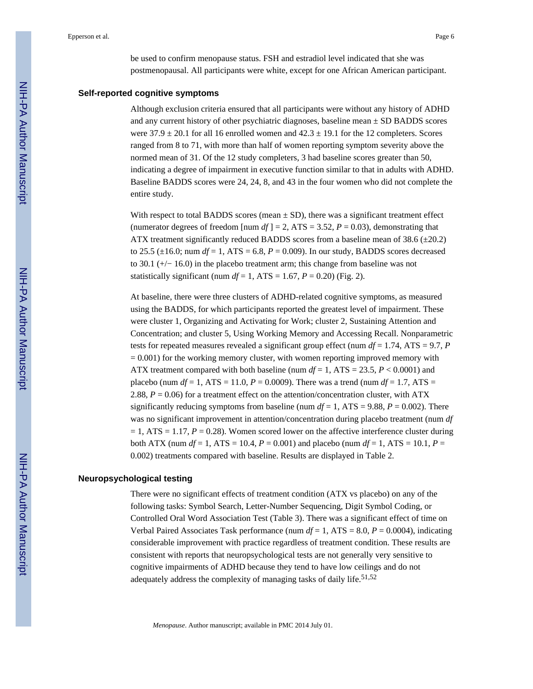be used to confirm menopause status. FSH and estradiol level indicated that she was postmenopausal. All participants were white, except for one African American participant.

#### **Self-reported cognitive symptoms**

Although exclusion criteria ensured that all participants were without any history of ADHD and any current history of other psychiatric diagnoses, baseline mean  $\pm$  SD BADDS scores were  $37.9 \pm 20.1$  for all 16 enrolled women and  $42.3 \pm 19.1$  for the 12 completers. Scores ranged from 8 to 71, with more than half of women reporting symptom severity above the normed mean of 31. Of the 12 study completers, 3 had baseline scores greater than 50, indicating a degree of impairment in executive function similar to that in adults with ADHD. Baseline BADDS scores were 24, 24, 8, and 43 in the four women who did not complete the entire study.

With respect to total BADDS scores (mean  $\pm$  SD), there was a significant treatment effect (numerator degrees of freedom [num  $df$ ] = 2, ATS = 3.52,  $P = 0.03$ ), demonstrating that ATX treatment significantly reduced BADDS scores from a baseline mean of  $38.6 \pm 20.2$ ) to 25.5 ( $\pm$ 16.0; num *df* = 1, ATS = 6.8, *P* = 0.009). In our study, BADDS scores decreased to 30.1 (+/− 16.0) in the placebo treatment arm; this change from baseline was not statistically significant (num  $df = 1$ ,  $ATS = 1.67$ ,  $P = 0.20$ ) (Fig. 2).

At baseline, there were three clusters of ADHD-related cognitive symptoms, as measured using the BADDS, for which participants reported the greatest level of impairment. These were cluster 1, Organizing and Activating for Work; cluster 2, Sustaining Attention and Concentration; and cluster 5, Using Working Memory and Accessing Recall. Nonparametric tests for repeated measures revealed a significant group effect (num *df* = 1.74, ATS = 9.7, *P*  $= 0.001$ ) for the working memory cluster, with women reporting improved memory with ATX treatment compared with both baseline (num  $df = 1$ , ATS = 23.5,  $P < 0.0001$ ) and placebo (num  $df = 1$ ,  $ATS = 11.0$ ,  $P = 0.0009$ ). There was a trend (num  $df = 1.7$ ,  $ATS = 1.7$ 2.88,  $P = 0.06$ ) for a treatment effect on the attention/concentration cluster, with ATX significantly reducing symptoms from baseline (num  $df = 1$ , ATS = 9.88,  $P = 0.002$ ). There was no significant improvement in attention/concentration during placebo treatment (num *df*  $= 1$ , ATS  $= 1.17$ ,  $P = 0.28$ ). Women scored lower on the affective interference cluster during both ATX (num  $df = 1$ , ATS = 10.4,  $P = 0.001$ ) and placebo (num  $df = 1$ , ATS = 10.1,  $P =$ 0.002) treatments compared with baseline. Results are displayed in Table 2.

#### **Neuropsychological testing**

There were no significant effects of treatment condition (ATX vs placebo) on any of the following tasks: Symbol Search, Letter-Number Sequencing, Digit Symbol Coding, or Controlled Oral Word Association Test (Table 3). There was a significant effect of time on Verbal Paired Associates Task performance (num  $df = 1$ , ATS = 8.0,  $P = 0.0004$ ), indicating considerable improvement with practice regardless of treatment condition. These results are consistent with reports that neuropsychological tests are not generally very sensitive to cognitive impairments of ADHD because they tend to have low ceilings and do not adequately address the complexity of managing tasks of daily life.<sup>51,52</sup>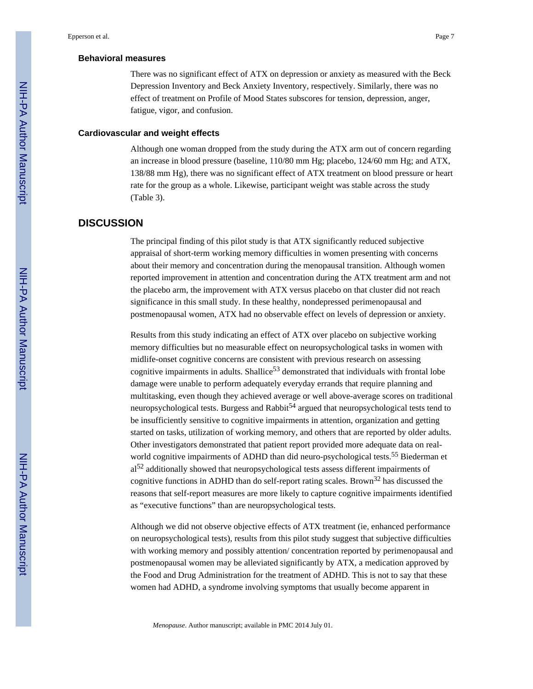#### **Behavioral measures**

There was no significant effect of ATX on depression or anxiety as measured with the Beck Depression Inventory and Beck Anxiety Inventory, respectively. Similarly, there was no effect of treatment on Profile of Mood States subscores for tension, depression, anger, fatigue, vigor, and confusion.

#### **Cardiovascular and weight effects**

Although one woman dropped from the study during the ATX arm out of concern regarding an increase in blood pressure (baseline, 110/80 mm Hg; placebo, 124/60 mm Hg; and ATX, 138/88 mm Hg), there was no significant effect of ATX treatment on blood pressure or heart rate for the group as a whole. Likewise, participant weight was stable across the study (Table 3).

### **DISCUSSION**

The principal finding of this pilot study is that ATX significantly reduced subjective appraisal of short-term working memory difficulties in women presenting with concerns about their memory and concentration during the menopausal transition. Although women reported improvement in attention and concentration during the ATX treatment arm and not the placebo arm, the improvement with ATX versus placebo on that cluster did not reach significance in this small study. In these healthy, nondepressed perimenopausal and postmenopausal women, ATX had no observable effect on levels of depression or anxiety.

Results from this study indicating an effect of ATX over placebo on subjective working memory difficulties but no measurable effect on neuropsychological tasks in women with midlife-onset cognitive concerns are consistent with previous research on assessing cognitive impairments in adults. Shallice<sup>53</sup> demonstrated that individuals with frontal lobe damage were unable to perform adequately everyday errands that require planning and multitasking, even though they achieved average or well above-average scores on traditional neuropsychological tests. Burgess and Rabbit<sup>54</sup> argued that neuropsychological tests tend to be insufficiently sensitive to cognitive impairments in attention, organization and getting started on tasks, utilization of working memory, and others that are reported by older adults. Other investigators demonstrated that patient report provided more adequate data on realworld cognitive impairments of ADHD than did neuro-psychological tests.<sup>55</sup> Biederman et al52 additionally showed that neuropsychological tests assess different impairments of cognitive functions in ADHD than do self-report rating scales. Brown<sup>32</sup> has discussed the reasons that self-report measures are more likely to capture cognitive impairments identified as "executive functions" than are neuropsychological tests.

Although we did not observe objective effects of ATX treatment (ie, enhanced performance on neuropsychological tests), results from this pilot study suggest that subjective difficulties with working memory and possibly attention/ concentration reported by perimenopausal and postmenopausal women may be alleviated significantly by ATX, a medication approved by the Food and Drug Administration for the treatment of ADHD. This is not to say that these women had ADHD, a syndrome involving symptoms that usually become apparent in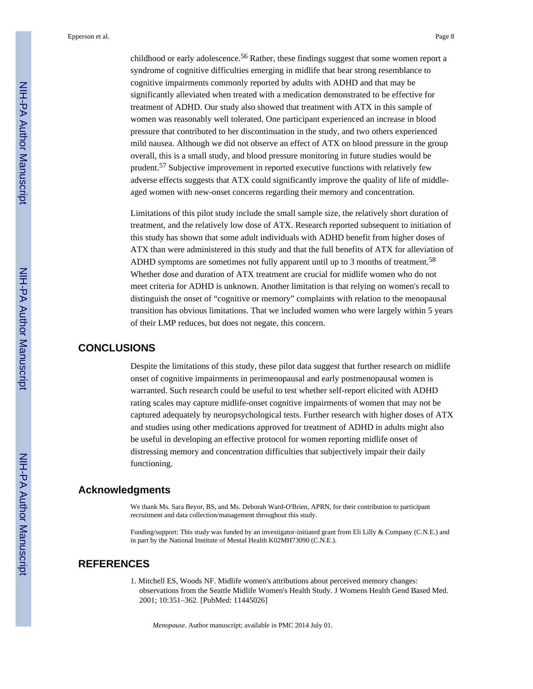childhood or early adolescence.<sup>56</sup> Rather, these findings suggest that some women report a syndrome of cognitive difficulties emerging in midlife that bear strong resemblance to cognitive impairments commonly reported by adults with ADHD and that may be significantly alleviated when treated with a medication demonstrated to be effective for treatment of ADHD. Our study also showed that treatment with ATX in this sample of women was reasonably well tolerated. One participant experienced an increase in blood pressure that contributed to her discontinuation in the study, and two others experienced mild nausea. Although we did not observe an effect of ATX on blood pressure in the group overall, this is a small study, and blood pressure monitoring in future studies would be prudent.57 Subjective improvement in reported executive functions with relatively few adverse effects suggests that ATX could significantly improve the quality of life of middleaged women with new-onset concerns regarding their memory and concentration.

Limitations of this pilot study include the small sample size, the relatively short duration of treatment, and the relatively low dose of ATX. Research reported subsequent to initiation of this study has shown that some adult individuals with ADHD benefit from higher doses of ATX than were administered in this study and that the full benefits of ATX for alleviation of ADHD symptoms are sometimes not fully apparent until up to 3 months of treatment.<sup>58</sup> Whether dose and duration of ATX treatment are crucial for midlife women who do not meet criteria for ADHD is unknown. Another limitation is that relying on women's recall to distinguish the onset of "cognitive or memory" complaints with relation to the menopausal transition has obvious limitations. That we included women who were largely within 5 years of their LMP reduces, but does not negate, this concern.

## **CONCLUSIONS**

Despite the limitations of this study, these pilot data suggest that further research on midlife onset of cognitive impairments in perimenopausal and early postmenopausal women is warranted. Such research could be useful to test whether self-report elicited with ADHD rating scales may capture midlife-onset cognitive impairments of women that may not be captured adequately by neuropsychological tests. Further research with higher doses of ATX and studies using other medications approved for treatment of ADHD in adults might also be useful in developing an effective protocol for women reporting midlife onset of distressing memory and concentration difficulties that subjectively impair their daily functioning.

#### **Acknowledgments**

We thank Ms. Sara Beyor, BS, and Ms. Deborah Ward-O'Brien, APRN, for their contribution to participant recruitment and data collection/management throughout this study.

Funding/support: This study was funded by an investigator-initiated grant from Eli Lilly & Company (C.N.E.) and in part by the National Institute of Mental Health K02MH73090 (C.N.E.).

# **REFERENCES**

1. Mitchell ES, Woods NF. Midlife women's attributions about perceived memory changes: observations from the Seattle Midlife Women's Health Study. J Womens Health Gend Based Med. 2001; 10:351–362. [PubMed: 11445026]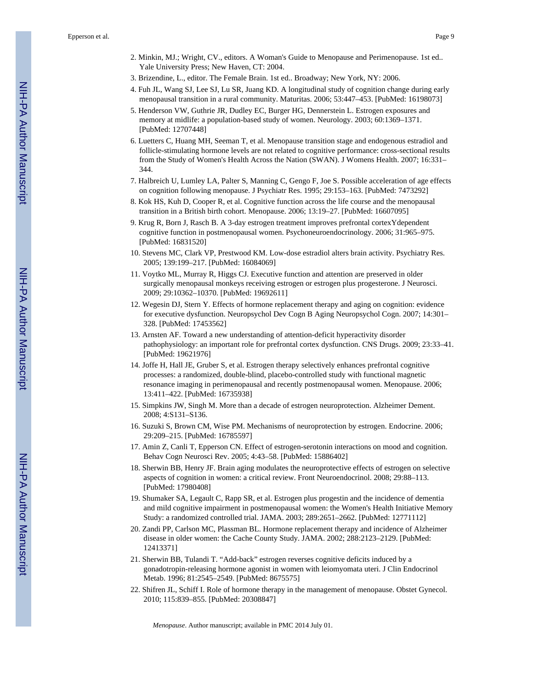- 2. Minkin, MJ.; Wright, CV., editors. A Woman's Guide to Menopause and Perimenopause. 1st ed.. Yale University Press; New Haven, CT: 2004.
- 3. Brizendine, L., editor. The Female Brain. 1st ed.. Broadway; New York, NY: 2006.
- 4. Fuh JL, Wang SJ, Lee SJ, Lu SR, Juang KD. A longitudinal study of cognition change during early menopausal transition in a rural community. Maturitas. 2006; 53:447–453. [PubMed: 16198073]
- 5. Henderson VW, Guthrie JR, Dudley EC, Burger HG, Dennerstein L. Estrogen exposures and memory at midlife: a population-based study of women. Neurology. 2003; 60:1369–1371. [PubMed: 12707448]
- 6. Luetters C, Huang MH, Seeman T, et al. Menopause transition stage and endogenous estradiol and follicle-stimulating hormone levels are not related to cognitive performance: cross-sectional results from the Study of Women's Health Across the Nation (SWAN). J Womens Health. 2007; 16:331– 344.
- 7. Halbreich U, Lumley LA, Palter S, Manning C, Gengo F, Joe S. Possible acceleration of age effects on cognition following menopause. J Psychiatr Res. 1995; 29:153–163. [PubMed: 7473292]
- 8. Kok HS, Kuh D, Cooper R, et al. Cognitive function across the life course and the menopausal transition in a British birth cohort. Menopause. 2006; 13:19–27. [PubMed: 16607095]
- 9. Krug R, Born J, Rasch B. A 3-day estrogen treatment improves prefrontal cortexYdependent cognitive function in postmenopausal women. Psychoneuroendocrinology. 2006; 31:965–975. [PubMed: 16831520]
- 10. Stevens MC, Clark VP, Prestwood KM. Low-dose estradiol alters brain activity. Psychiatry Res. 2005; 139:199–217. [PubMed: 16084069]
- 11. Voytko ML, Murray R, Higgs CJ. Executive function and attention are preserved in older surgically menopausal monkeys receiving estrogen or estrogen plus progesterone. J Neurosci. 2009; 29:10362–10370. [PubMed: 19692611]
- 12. Wegesin DJ, Stern Y. Effects of hormone replacement therapy and aging on cognition: evidence for executive dysfunction. Neuropsychol Dev Cogn B Aging Neuropsychol Cogn. 2007; 14:301– 328. [PubMed: 17453562]
- 13. Arnsten AF. Toward a new understanding of attention-deficit hyperactivity disorder pathophysiology: an important role for prefrontal cortex dysfunction. CNS Drugs. 2009; 23:33–41. [PubMed: 19621976]
- 14. Joffe H, Hall JE, Gruber S, et al. Estrogen therapy selectively enhances prefrontal cognitive processes: a randomized, double-blind, placebo-controlled study with functional magnetic resonance imaging in perimenopausal and recently postmenopausal women. Menopause. 2006; 13:411–422. [PubMed: 16735938]
- 15. Simpkins JW, Singh M. More than a decade of estrogen neuroprotection. Alzheimer Dement. 2008; 4:S131–S136.
- 16. Suzuki S, Brown CM, Wise PM. Mechanisms of neuroprotection by estrogen. Endocrine. 2006; 29:209–215. [PubMed: 16785597]
- 17. Amin Z, Canli T, Epperson CN. Effect of estrogen-serotonin interactions on mood and cognition. Behav Cogn Neurosci Rev. 2005; 4:43–58. [PubMed: 15886402]
- 18. Sherwin BB, Henry JF. Brain aging modulates the neuroprotective effects of estrogen on selective aspects of cognition in women: a critical review. Front Neuroendocrinol. 2008; 29:88–113. [PubMed: 17980408]
- 19. Shumaker SA, Legault C, Rapp SR, et al. Estrogen plus progestin and the incidence of dementia and mild cognitive impairment in postmenopausal women: the Women's Health Initiative Memory Study: a randomized controlled trial. JAMA. 2003; 289:2651–2662. [PubMed: 12771112]
- 20. Zandi PP, Carlson MC, Plassman BL. Hormone replacement therapy and incidence of Alzheimer disease in older women: the Cache County Study. JAMA. 2002; 288:2123–2129. [PubMed: 12413371]
- 21. Sherwin BB, Tulandi T. "Add-back" estrogen reverses cognitive deficits induced by a gonadotropin-releasing hormone agonist in women with leiomyomata uteri. J Clin Endocrinol Metab. 1996; 81:2545–2549. [PubMed: 8675575]
- 22. Shifren JL, Schiff I. Role of hormone therapy in the management of menopause. Obstet Gynecol. 2010; 115:839–855. [PubMed: 20308847]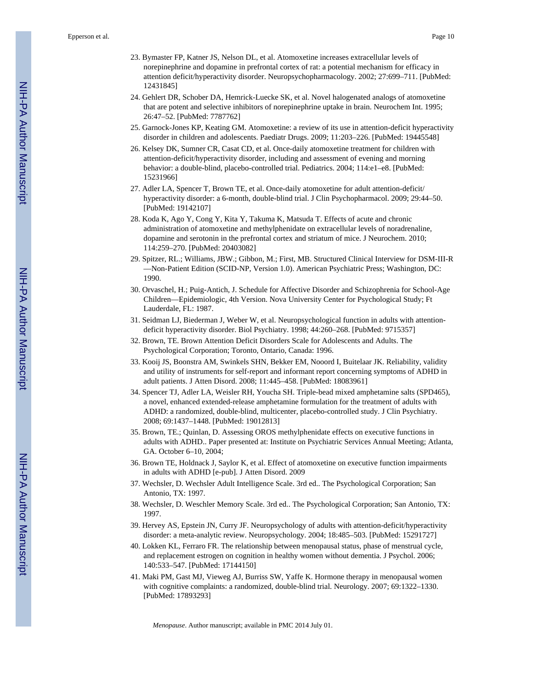- 23. Bymaster FP, Katner JS, Nelson DL, et al. Atomoxetine increases extracellular levels of norepinephrine and dopamine in prefrontal cortex of rat: a potential mechanism for efficacy in attention deficit/hyperactivity disorder. Neuropsychopharmacology. 2002; 27:699–711. [PubMed: 12431845]
- 24. Gehlert DR, Schober DA, Hemrick-Luecke SK, et al. Novel halogenated analogs of atomoxetine that are potent and selective inhibitors of norepinephrine uptake in brain. Neurochem Int. 1995; 26:47–52. [PubMed: 7787762]
- 25. Garnock-Jones KP, Keating GM. Atomoxetine: a review of its use in attention-deficit hyperactivity disorder in children and adolescents. Paediatr Drugs. 2009; 11:203–226. [PubMed: 19445548]
- 26. Kelsey DK, Sumner CR, Casat CD, et al. Once-daily atomoxetine treatment for children with attention-deficit/hyperactivity disorder, including and assessment of evening and morning behavior: a double-blind, placebo-controlled trial. Pediatrics. 2004; 114:e1–e8. [PubMed: 15231966]
- 27. Adler LA, Spencer T, Brown TE, et al. Once-daily atomoxetine for adult attention-deficit/ hyperactivity disorder: a 6-month, double-blind trial. J Clin Psychopharmacol. 2009; 29:44–50. [PubMed: 19142107]
- 28. Koda K, Ago Y, Cong Y, Kita Y, Takuma K, Matsuda T. Effects of acute and chronic administration of atomoxetine and methylphenidate on extracellular levels of noradrenaline, dopamine and serotonin in the prefrontal cortex and striatum of mice. J Neurochem. 2010; 114:259–270. [PubMed: 20403082]
- 29. Spitzer, RL.; Williams, JBW.; Gibbon, M.; First, MB. Structured Clinical Interview for DSM-III-R —Non-Patient Edition (SCID-NP, Version 1.0). American Psychiatric Press; Washington, DC: 1990.
- 30. Orvaschel, H.; Puig-Antich, J. Schedule for Affective Disorder and Schizophrenia for School-Age Children—Epidemiologic, 4th Version. Nova University Center for Psychological Study; Ft Lauderdale, FL: 1987.
- 31. Seidman LJ, Biederman J, Weber W, et al. Neuropsychological function in adults with attentiondeficit hyperactivity disorder. Biol Psychiatry. 1998; 44:260–268. [PubMed: 9715357]
- 32. Brown, TE. Brown Attention Deficit Disorders Scale for Adolescents and Adults. The Psychological Corporation; Toronto, Ontario, Canada: 1996.
- 33. Kooij JS, Boonstra AM, Swinkels SHN, Bekker EM, Nooord I, Buitelaar JK. Reliability, validity and utility of instruments for self-report and informant report concerning symptoms of ADHD in adult patients. J Atten Disord. 2008; 11:445–458. [PubMed: 18083961]
- 34. Spencer TJ, Adler LA, Weisler RH, Youcha SH. Triple-bead mixed amphetamine salts (SPD465), a novel, enhanced extended-release amphetamine formulation for the treatment of adults with ADHD: a randomized, double-blind, multicenter, placebo-controlled study. J Clin Psychiatry. 2008; 69:1437–1448. [PubMed: 19012813]
- 35. Brown, TE.; Quinlan, D. Assessing OROS methylphenidate effects on executive functions in adults with ADHD.. Paper presented at: Institute on Psychiatric Services Annual Meeting; Atlanta, GA. October 6–10, 2004;
- 36. Brown TE, Holdnack J, Saylor K, et al. Effect of atomoxetine on executive function impairments in adults with ADHD [e-pub]. J Atten Disord. 2009
- 37. Wechsler, D. Wechsler Adult Intelligence Scale. 3rd ed.. The Psychological Corporation; San Antonio, TX: 1997.
- 38. Wechsler, D. Weschler Memory Scale. 3rd ed.. The Psychological Corporation; San Antonio, TX: 1997.
- 39. Hervey AS, Epstein JN, Curry JF. Neuropsychology of adults with attention-deficit/hyperactivity disorder: a meta-analytic review. Neuropsychology. 2004; 18:485–503. [PubMed: 15291727]
- 40. Lokken KL, Ferraro FR. The relationship between menopausal status, phase of menstrual cycle, and replacement estrogen on cognition in healthy women without dementia. J Psychol. 2006; 140:533–547. [PubMed: 17144150]
- 41. Maki PM, Gast MJ, Vieweg AJ, Burriss SW, Yaffe K. Hormone therapy in menopausal women with cognitive complaints: a randomized, double-blind trial. Neurology. 2007; 69:1322–1330. [PubMed: 17893293]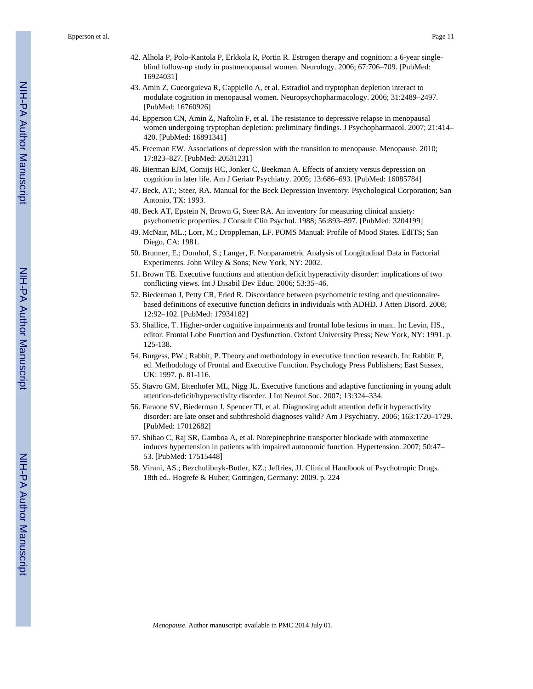- 42. Alhola P, Polo-Kantola P, Erkkola R, Portin R. Estrogen therapy and cognition: a 6-year singleblind follow-up study in postmenopausal women. Neurology. 2006; 67:706–709. [PubMed: 16924031]
- 43. Amin Z, Gueorguieva R, Cappiello A, et al. Estradiol and tryptophan depletion interact to modulate cognition in menopausal women. Neuropsychopharmacology. 2006; 31:2489–2497. [PubMed: 16760926]
- 44. Epperson CN, Amin Z, Naftolin F, et al. The resistance to depressive relapse in menopausal women undergoing tryptophan depletion: preliminary findings. J Psychopharmacol. 2007; 21:414– 420. [PubMed: 16891341]
- 45. Freeman EW. Associations of depression with the transition to menopause. Menopause. 2010; 17:823–827. [PubMed: 20531231]
- 46. Bierman EJM, Comijs HC, Jonker C, Beekman A. Effects of anxiety versus depression on cognition in later life. Am J Geriatr Psychiatry. 2005; 13:686–693. [PubMed: 16085784]
- 47. Beck, AT.; Steer, RA. Manual for the Beck Depression Inventory. Psychological Corporation; San Antonio, TX: 1993.
- 48. Beck AT, Epstein N, Brown G, Steer RA. An inventory for measuring clinical anxiety: psychometric properties. J Consult Clin Psychol. 1988; 56:893–897. [PubMed: 3204199]
- 49. McNair, ML.; Lorr, M.; Droppleman, LF. POMS Manual: Profile of Mood States. EdITS; San Diego, CA: 1981.
- 50. Brunner, E.; Domhof, S.; Langer, F. Nonparametric Analysis of Longitudinal Data in Factorial Experiments. John Wiley & Sons; New York, NY: 2002.
- 51. Brown TE. Executive functions and attention deficit hyperactivity disorder: implications of two conflicting views. Int J Disabil Dev Educ. 2006; 53:35–46.
- 52. Biederman J, Petty CR, Fried R. Discordance between psychometric testing and questionnairebased definitions of executive function deficits in individuals with ADHD. J Atten Disord. 2008; 12:92–102. [PubMed: 17934182]
- 53. Shallice, T. Higher-order cognitive impairments and frontal lobe lesions in man.. In: Levin, HS., editor. Frontal Lobe Function and Dysfunction. Oxford University Press; New York, NY: 1991. p. 125-138.
- 54. Burgess, PW.; Rabbit, P. Theory and methodology in executive function research. In: Rabbitt P, ed. Methodology of Frontal and Executive Function. Psychology Press Publishers; East Sussex, UK: 1997. p. 81-116.
- 55. Stavro GM, Ettenhofer ML, Nigg JL. Executive functions and adaptive functioning in young adult attention-deficit/hyperactivity disorder. J Int Neurol Soc. 2007; 13:324–334.
- 56. Faraone SV, Biederman J, Spencer TJ, et al. Diagnosing adult attention deficit hyperactivity disorder: are late onset and subthreshold diagnoses valid? Am J Psychiatry. 2006; 163:1720–1729. [PubMed: 17012682]
- 57. Shibao C, Raj SR, Gamboa A, et al. Norepinephrine transporter blockade with atomoxetine induces hypertension in patients with impaired autonomic function. Hypertension. 2007; 50:47– 53. [PubMed: 17515448]
- 58. Virani, AS.; Bezchulibnyk-Butler, KZ.; Jeffries, JJ. Clinical Handbook of Psychotropic Drugs. 18th ed.. Hogrefe & Huber; Gottingen, Germany: 2009. p. 224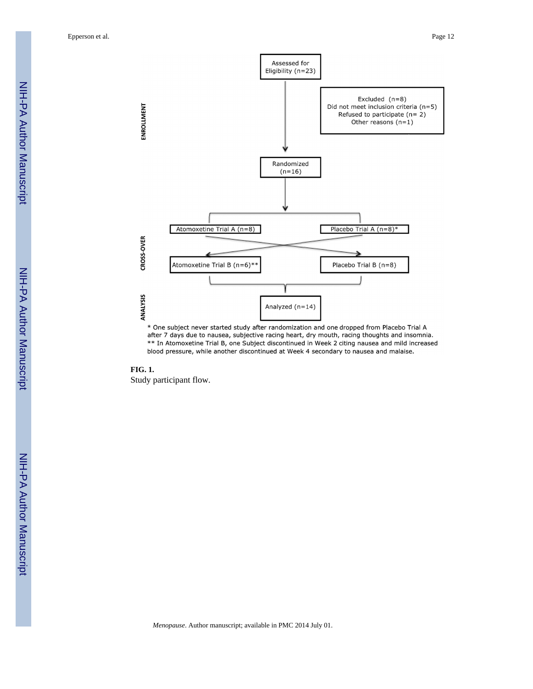



after 7 days due to nausea, subjective racing heart, dry mouth, racing thoughts and insomnia. \*\* In Atomoxetine Trial B, one Subject discontinued in Week 2 citing nausea and mild increased blood pressure, while another discontinued at Week 4 secondary to nausea and malaise.

**FIG. 1.** Study participant flow.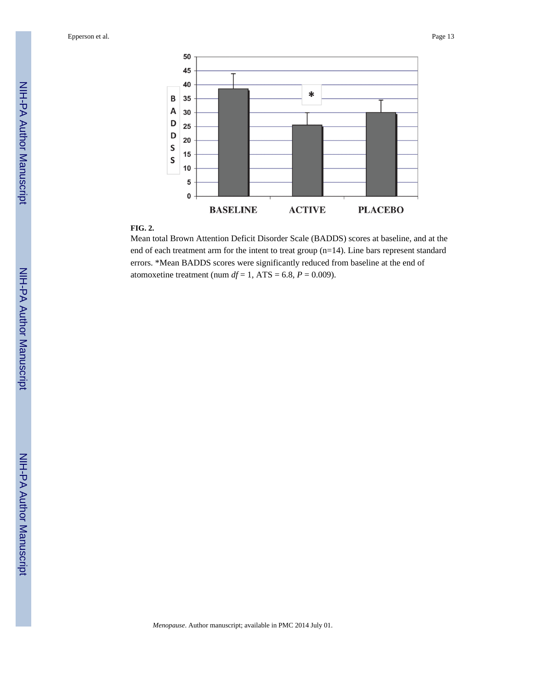Epperson et al. Page 13



# **FIG. 2.**

Mean total Brown Attention Deficit Disorder Scale (BADDS) scores at baseline, and at the end of each treatment arm for the intent to treat group (n=14). Line bars represent standard errors. \*Mean BADDS scores were significantly reduced from baseline at the end of atomoxetine treatment (num *df* = 1, ATS = 6.8, *P* = 0.009).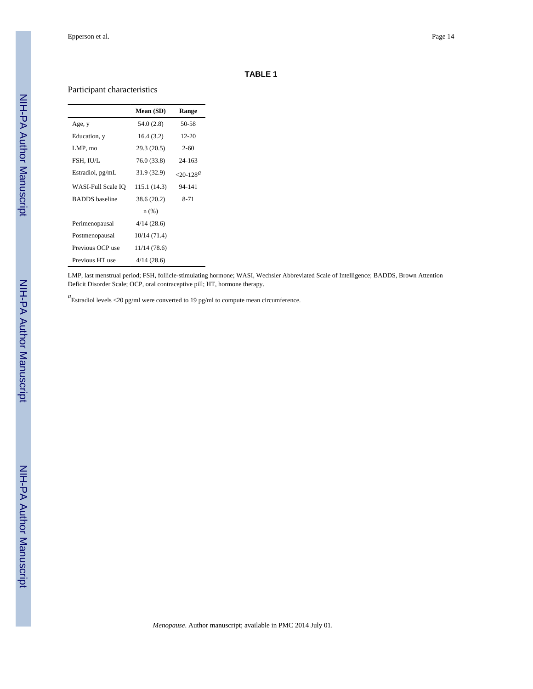#### **TABLE 1**

#### Participant characteristics

|                       | Mean (SD)    | Range                  |
|-----------------------|--------------|------------------------|
| Age, y                | 54.0 (2.8)   | 50-58                  |
| Education, y          | 16.4 (3.2)   | $12 - 20$              |
| LMP, mo               | 29.3(20.5)   | $2 - 60$               |
| FSH, IU/L             | 76.0 (33.8)  | 24-163                 |
| Estradiol, pg/mL      | 31.9 (32.9)  | $<20-128$ <sup>a</sup> |
| WASI-Full Scale IO    | 115.1 (14.3) | 94-141                 |
| <b>BADDS</b> baseline | 38.6 (20.2)  | $8 - 71$               |
|                       | n(%)         |                        |
| Perimenopausal        | 4/14(28.6)   |                        |
| Postmenopausal        | 10/14 (71.4) |                        |
| Previous OCP use      | 11/14 (78.6) |                        |
| Previous HT use       | 4/14(28.6)   |                        |

LMP, last menstrual period; FSH, follicle-stimulating hormone; WASI, Wechsler Abbreviated Scale of Intelligence; BADDS, Brown Attention Deficit Disorder Scale; OCP, oral contraceptive pill; HT, hormone therapy.

*a*<br>
Estradiol levels <20 pg/ml were converted to 19 pg/ml to compute mean circumference.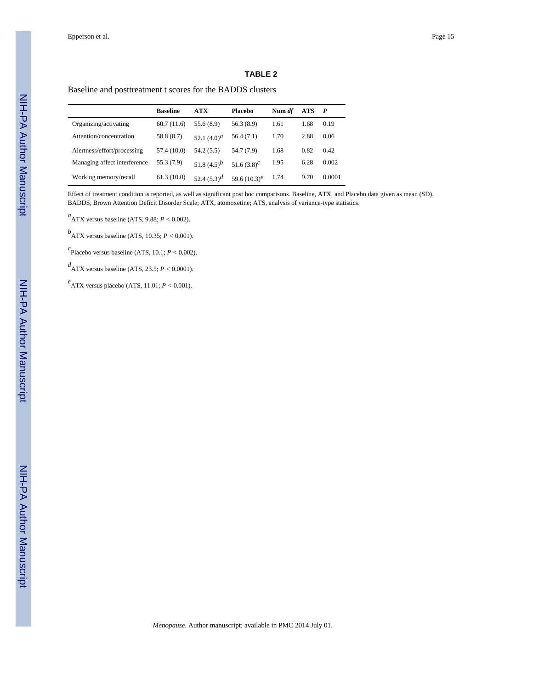#### **TABLE 2**

#### Baseline and posttreatment t scores for the BADDS clusters

|                              | <b>Baseline</b> | ATX              | <b>Placebo</b>  | Num $df$ | <b>ATS</b> | $\boldsymbol{P}$ |
|------------------------------|-----------------|------------------|-----------------|----------|------------|------------------|
| Organizing/activating        | 60.7(11.6)      | 55.6 (8.9)       | 56.3(8.9)       | 1.61     | 1.68       | 0.19             |
| Attention/concentration      | 58.8 (8.7)      | 52.1 $(4.0)^{a}$ | 56.4 (7.1)      | 1.70     | 2.88       | 0.06             |
| Alertness/effort/processing  | 57.4 (10.0)     | 54.2(5.5)        | 54.7 (7.9)      | 1.68     | 0.82       | 0.42             |
| Managing affect interference | 55.3 (7.9)      | 51.8 $(4.5)^b$   | 51.6 $(3.8)^c$  | 1.95     | 6.28       | 0.002            |
| Working memory/recall        | 61.3(10.0)      | 52.4 $(5.3)^d$   | 59.6 $(10.3)^e$ | 1.74     | 9.70       | 0.0001           |

Effect of treatment condition is reported, as well as significant post hoc comparisons. Baseline, ATX, and Placebo data given as mean (SD). BADDS, Brown Attention Deficit Disorder Scale; ATX, atomoxetine; ATS, analysis of variance-type statistics.

*a* ATX versus baseline (ATS, 9.88; *P <* 0.002).

*b* ATX versus baseline (ATS, 10.35; *P <* 0.001).

*c* Placebo versus baseline (ATS, 10.1; *P <* 0.002).

*d* ATX versus baseline (ATS, 23.5; *P <* 0.0001).

*e* ATX versus placebo (ATS, 11.01; *P <* 0.001).